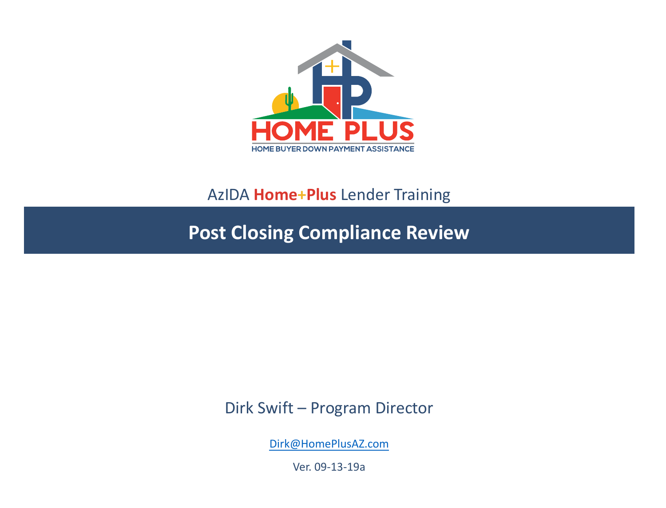

#### AzIDA **Home+Plus** Lender Training

**Post Closing Compliance Review**

Dirk Swift – Program Director

[Dirk@HomePlusAZ.com](mailto:Dirk@HomePlusAZ.com)

Ver. 09-13-19a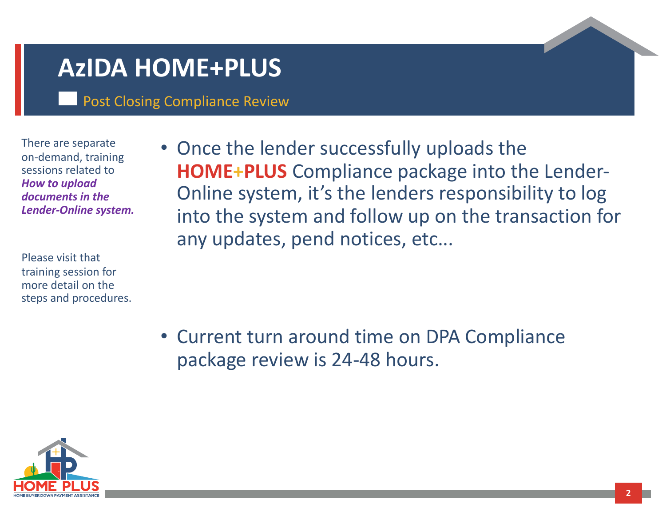### **AzIDA HOME+PLUS**

Post Closing Compliance Review

There are separate on-demand, training sessions related to *How to upload documents in the Lender-Online system.*

Please visit that training session for more detail on the steps and procedures. • Once the lender successfully uploads the **HOME+PLUS** Compliance package into the Lender-Online system, it's the lenders responsibility to log into the system and follow up on the transaction for any updates, pend notices, etc...

• Current turn around time on DPA Compliance package review is 24-48 hours.

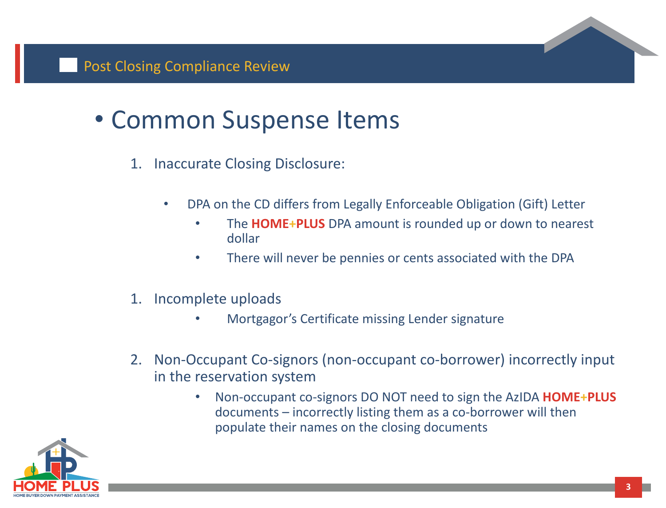# • Common Suspense Items

- 1. Inaccurate Closing Disclosure:
	- DPA on the CD differs from Legally Enforceable Obligation (Gift) Letter
		- The **HOME+PLUS** DPA amount is rounded up or down to nearest dollar
		- There will never be pennies or cents associated with the DPA
- 1. Incomplete uploads
	- Mortgagor's Certificate missing Lender signature
- 2. Non-Occupant Co-signors (non-occupant co-borrower) incorrectly input in the reservation system
	- Non-occupant co-signors DO NOT need to sign the AzIDA **HOME+PLUS**  documents – incorrectly listing them as a co-borrower will then populate their names on the closing documents

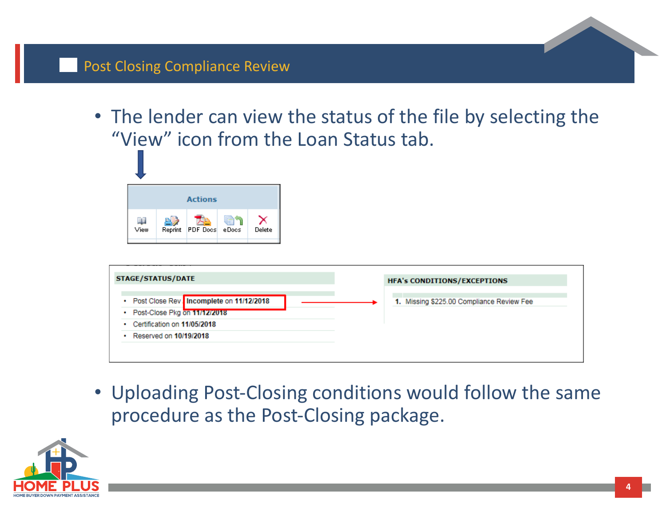• The lender can view the status of the file by selecting the "View" icon from the Loan Status tab.



| <b>STAGE/STATUS/DATE</b>                 | <b>HFA's CONDITIONS/EXCEPTIONS</b>        |
|------------------------------------------|-------------------------------------------|
| Post Close Rev. Incomplete on 11/12/2018 | 1. Missing \$225.00 Compliance Review Fee |
| • Post-Close Pkg on 11/12/2018           |                                           |
| Certification on 11/05/2018              |                                           |
| Reserved on 10/19/2018                   |                                           |

• Uploading Post-Closing conditions would follow the same procedure as the Post-Closing package.